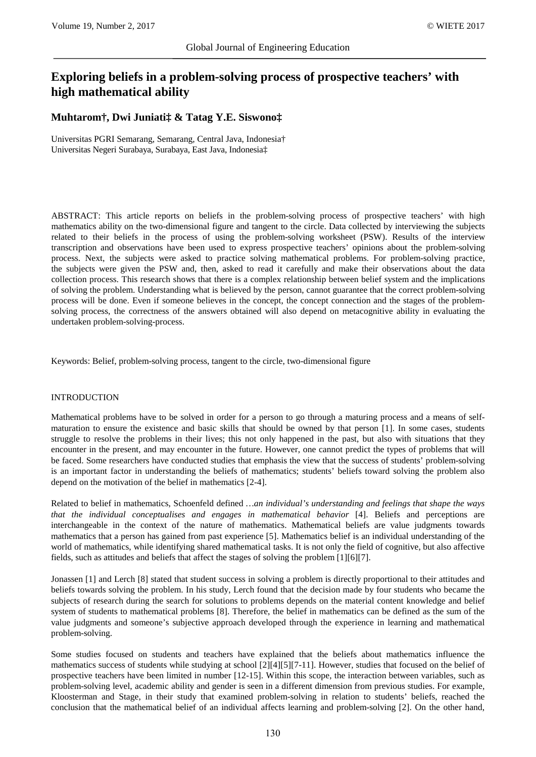# **Exploring beliefs in a problem-solving process of prospective teachers' with high mathematical ability**

# **Muhtarom†, Dwi Juniati‡ & Tatag Y.E. Siswono‡**

Universitas PGRI Semarang, Semarang, Central Java, Indonesia† Universitas Negeri Surabaya, Surabaya, East Java, Indonesia‡

ABSTRACT: This article reports on beliefs in the problem-solving process of prospective teachers' with high mathematics ability on the two-dimensional figure and tangent to the circle. Data collected by interviewing the subjects related to their beliefs in the process of using the problem-solving worksheet (PSW). Results of the interview transcription and observations have been used to express prospective teachers' opinions about the problem-solving process. Next, the subjects were asked to practice solving mathematical problems. For problem-solving practice, the subjects were given the PSW and, then, asked to read it carefully and make their observations about the data collection process. This research shows that there is a complex relationship between belief system and the implications of solving the problem. Understanding what is believed by the person, cannot guarantee that the correct problem-solving process will be done. Even if someone believes in the concept, the concept connection and the stages of the problemsolving process, the correctness of the answers obtained will also depend on metacognitive ability in evaluating the undertaken problem-solving-process.

Keywords: Belief, problem-solving process, tangent to the circle, two-dimensional figure

## INTRODUCTION

Mathematical problems have to be solved in order for a person to go through a maturing process and a means of selfmaturation to ensure the existence and basic skills that should be owned by that person [1]. In some cases, students struggle to resolve the problems in their lives; this not only happened in the past, but also with situations that they encounter in the present, and may encounter in the future. However, one cannot predict the types of problems that will be faced. Some researchers have conducted studies that emphasis the view that the success of students' problem-solving is an important factor in understanding the beliefs of mathematics; students' beliefs toward solving the problem also depend on the motivation of the belief in mathematics [2-4].

Related to belief in mathematics, Schoenfeld defined *…an individual's understanding and feelings that shape the ways that the individual conceptualises and engages in mathematical behavior* [4]. Beliefs and perceptions are interchangeable in the context of the nature of mathematics. Mathematical beliefs are value judgments towards mathematics that a person has gained from past experience [5]. Mathematics belief is an individual understanding of the world of mathematics, while identifying shared mathematical tasks. It is not only the field of cognitive, but also affective fields, such as attitudes and beliefs that affect the stages of solving the problem [1][6][7].

Jonassen [1] and Lerch [8] stated that student success in solving a problem is directly proportional to their attitudes and beliefs towards solving the problem. In his study, Lerch found that the decision made by four students who became the subjects of research during the search for solutions to problems depends on the material content knowledge and belief system of students to mathematical problems [8]. Therefore, the belief in mathematics can be defined as the sum of the value judgments and someone's subjective approach developed through the experience in learning and mathematical problem-solving.

Some studies focused on students and teachers have explained that the beliefs about mathematics influence the mathematics success of students while studying at school [2][4][5][7-11]. However, studies that focused on the belief of prospective teachers have been limited in number [12-15]. Within this scope, the interaction between variables, such as problem-solving level, academic ability and gender is seen in a different dimension from previous studies. For example, Kloosterman and Stage, in their study that examined problem-solving in relation to students' beliefs, reached the conclusion that the mathematical belief of an individual affects learning and problem-solving [2]. On the other hand,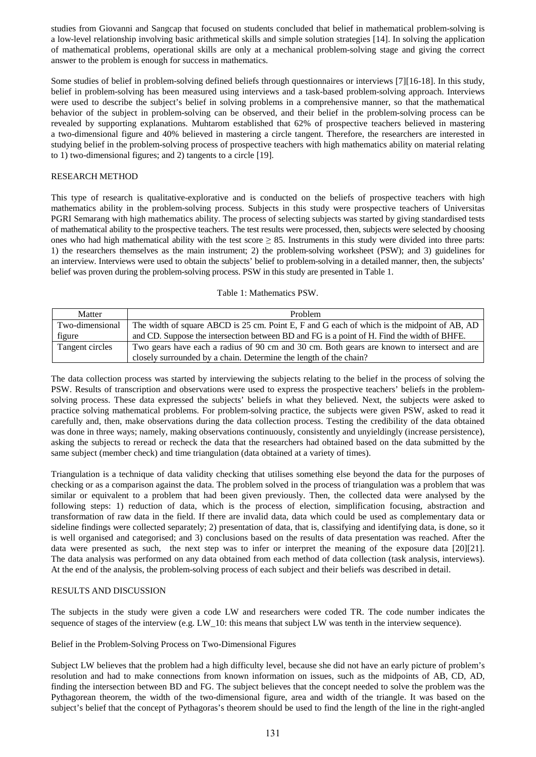studies from Giovanni and Sangcap that focused on students concluded that belief in mathematical problem-solving is a low-level relationship involving basic arithmetical skills and simple solution strategies [14]. In solving the application of mathematical problems, operational skills are only at a mechanical problem-solving stage and giving the correct answer to the problem is enough for success in mathematics.

Some studies of belief in problem-solving defined beliefs through questionnaires or interviews [7][16-18]. In this study, belief in problem-solving has been measured using interviews and a task-based problem-solving approach. Interviews were used to describe the subject's belief in solving problems in a comprehensive manner, so that the mathematical behavior of the subject in problem-solving can be observed, and their belief in the problem-solving process can be revealed by supporting explanations. Muhtarom established that 62% of prospective teachers believed in mastering a two-dimensional figure and 40% believed in mastering a circle tangent. Therefore, the researchers are interested in studying belief in the problem-solving process of prospective teachers with high mathematics ability on material relating to 1) two-dimensional figures; and 2) tangents to a circle [19].

## RESEARCH METHOD

This type of research is qualitative-explorative and is conducted on the beliefs of prospective teachers with high mathematics ability in the problem-solving process. Subjects in this study were prospective teachers of Universitas PGRI Semarang with high mathematics ability. The process of selecting subjects was started by giving standardised tests of mathematical ability to the prospective teachers. The test results were processed, then, subjects were selected by choosing ones who had high mathematical ability with the test score  $\geq$  85. Instruments in this study were divided into three parts: 1) the researchers themselves as the main instrument; 2) the problem-solving worksheet (PSW); and 3) guidelines for an interview. Interviews were used to obtain the subjects' belief to problem-solving in a detailed manner, then, the subjects' belief was proven during the problem-solving process. PSW in this study are presented in Table 1.

#### Table 1: Mathematics PSW.

| Matter          | <b>Problem</b>                                                                              |  |
|-----------------|---------------------------------------------------------------------------------------------|--|
| Two-dimensional | The width of square ABCD is 25 cm. Point E, F and G each of which is the midpoint of AB, AD |  |
| figure          | and CD. Suppose the intersection between BD and FG is a point of H. Find the width of BHFE. |  |
| Tangent circles | Two gears have each a radius of 90 cm and 30 cm. Both gears are known to intersect and are  |  |
|                 | closely surrounded by a chain. Determine the length of the chain?                           |  |

The data collection process was started by interviewing the subjects relating to the belief in the process of solving the PSW. Results of transcription and observations were used to express the prospective teachers' beliefs in the problemsolving process. These data expressed the subjects' beliefs in what they believed. Next, the subjects were asked to practice solving mathematical problems. For problem-solving practice, the subjects were given PSW, asked to read it carefully and, then, make observations during the data collection process. Testing the credibility of the data obtained was done in three ways; namely, making observations continuously, consistently and unyieldingly (increase persistence), asking the subjects to reread or recheck the data that the researchers had obtained based on the data submitted by the same subject (member check) and time triangulation (data obtained at a variety of times).

Triangulation is a technique of data validity checking that utilises something else beyond the data for the purposes of checking or as a comparison against the data. The problem solved in the process of triangulation was a problem that was similar or equivalent to a problem that had been given previously. Then, the collected data were analysed by the following steps: 1) reduction of data, which is the process of election, simplification focusing, abstraction and transformation of raw data in the field. If there are invalid data, data which could be used as complementary data or sideline findings were collected separately; 2) presentation of data, that is, classifying and identifying data, is done, so it is well organised and categorised; and 3) conclusions based on the results of data presentation was reached. After the data were presented as such, the next step was to infer or interpret the meaning of the exposure data [20][21]. The data analysis was performed on any data obtained from each method of data collection (task analysis, interviews). At the end of the analysis, the problem-solving process of each subject and their beliefs was described in detail.

#### RESULTS AND DISCUSSION

The subjects in the study were given a code LW and researchers were coded TR. The code number indicates the sequence of stages of the interview (e.g. LW\_10: this means that subject LW was tenth in the interview sequence).

Belief in the Problem-Solving Process on Two-Dimensional Figures

Subject LW believes that the problem had a high difficulty level, because she did not have an early picture of problem's resolution and had to make connections from known information on issues, such as the midpoints of AB, CD, AD, finding the intersection between BD and FG. The subject believes that the concept needed to solve the problem was the Pythagorean theorem, the width of the two-dimensional figure, area and width of the triangle. It was based on the subject's belief that the concept of Pythagoras's theorem should be used to find the length of the line in the right-angled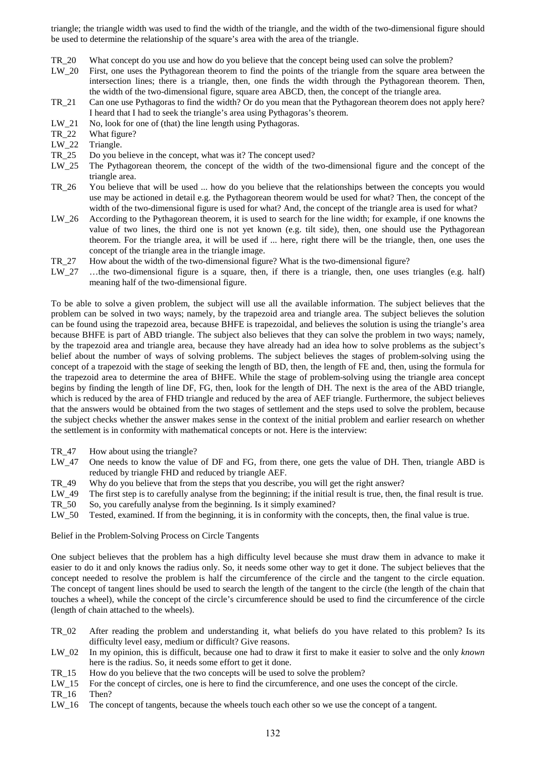triangle; the triangle width was used to find the width of the triangle, and the width of the two-dimensional figure should be used to determine the relationship of the square's area with the area of the triangle.

- TR\_20 What concept do you use and how do you believe that the concept being used can solve the problem?
- LW\_20 First, one uses the Pythagorean theorem to find the points of the triangle from the square area between the intersection lines; there is a triangle, then, one finds the width through the Pythagorean theorem. Then, the width of the two-dimensional figure, square area ABCD, then, the concept of the triangle area.
- TR\_21 Can one use Pythagoras to find the width? Or do you mean that the Pythagorean theorem does not apply here? I heard that I had to seek the triangle's area using Pythagoras's theorem.
- LW\_21 No, look for one of (that) the line length using Pythagoras.<br>TR 22 What figure?
- TR\_22 What figure?<br>LW\_22 Triangle.
- LW\_22 Triangle.<br>TR 25 Do you b
- Do you believe in the concept, what was it? The concept used?
- LW\_25 The Pythagorean theorem, the concept of the width of the two-dimensional figure and the concept of the triangle area.
- TR\_26 You believe that will be used ... how do you believe that the relationships between the concepts you would use may be actioned in detail e.g. the Pythagorean theorem would be used for what? Then, the concept of the width of the two-dimensional figure is used for what? And, the concept of the triangle area is used for what?
- LW\_26 According to the Pythagorean theorem, it is used to search for the line width; for example, if one knowns the value of two lines, the third one is not yet known (e.g. tilt side), then, one should use the Pythagorean theorem. For the triangle area, it will be used if ... here, right there will be the triangle, then, one uses the concept of the triangle area in the triangle image.
- TR\_27 How about the width of the two-dimensional figure? What is the two-dimensional figure?<br>LW 27 ...the two-dimensional figure is a square, then, if there is a triangle, then, one uses
- $\ldots$  the two-dimensional figure is a square, then, if there is a triangle, then, one uses triangles (e.g. half) meaning half of the two-dimensional figure.

To be able to solve a given problem, the subject will use all the available information. The subject believes that the problem can be solved in two ways; namely, by the trapezoid area and triangle area. The subject believes the solution can be found using the trapezoid area, because BHFE is trapezoidal, and believes the solution is using the triangle's area because BHFE is part of ABD triangle. The subject also believes that they can solve the problem in two ways; namely, by the trapezoid area and triangle area, because they have already had an idea how to solve problems as the subject's belief about the number of ways of solving problems. The subject believes the stages of problem-solving using the concept of a trapezoid with the stage of seeking the length of BD, then, the length of FE and, then, using the formula for the trapezoid area to determine the area of BHFE. While the stage of problem-solving using the triangle area concept begins by finding the length of line DF, FG, then, look for the length of DH. The next is the area of the ABD triangle, which is reduced by the area of FHD triangle and reduced by the area of AEF triangle. Furthermore, the subject believes that the answers would be obtained from the two stages of settlement and the steps used to solve the problem, because the subject checks whether the answer makes sense in the context of the initial problem and earlier research on whether the settlement is in conformity with mathematical concepts or not. Here is the interview:

- TR 47 How about using the triangle?
- LW\_47 One needs to know the value of DF and FG, from there, one gets the value of DH. Then, triangle ABD is reduced by triangle FHD and reduced by triangle AEF.
- TR\_49 Why do you believe that from the steps that you describe, you will get the right answer?
- LW\_49 The first step is to carefully analyse from the beginning; if the initial result is true, then, the final result is true.
- TR\_50 So, you carefully analyse from the beginning. Is it simply examined?
- LW\_50 Tested, examined. If from the beginning, it is in conformity with the concepts, then, the final value is true.

Belief in the Problem-Solving Process on Circle Tangents

One subject believes that the problem has a high difficulty level because she must draw them in advance to make it easier to do it and only knows the radius only. So, it needs some other way to get it done. The subject believes that the concept needed to resolve the problem is half the circumference of the circle and the tangent to the circle equation. The concept of tangent lines should be used to search the length of the tangent to the circle (the length of the chain that touches a wheel), while the concept of the circle's circumference should be used to find the circumference of the circle (length of chain attached to the wheels).

- TR\_02 After reading the problem and understanding it, what beliefs do you have related to this problem? Is its difficulty level easy, medium or difficult? Give reasons.
- LW\_02 In my opinion, this is difficult, because one had to draw it first to make it easier to solve and the only *known* here is the radius. So, it needs some effort to get it done.
- TR\_15 How do you believe that the two concepts will be used to solve the problem?
- LW 15 For the concept of circles, one is here to find the circumference, and one uses the concept of the circle.
- TR\_16 Then?
- LW\_16 The concept of tangents, because the wheels touch each other so we use the concept of a tangent.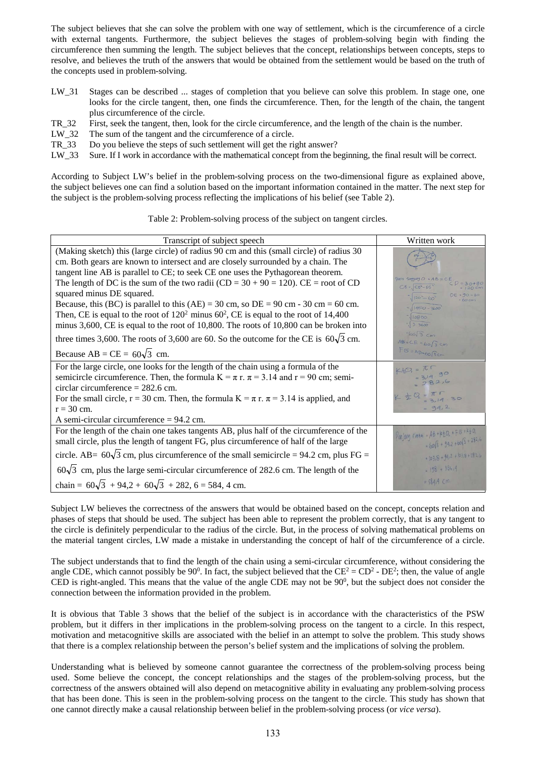The subject believes that she can solve the problem with one way of settlement, which is the circumference of a circle with external tangents. Furthermore, the subject believes the stages of problem-solving begin with finding the circumference then summing the length. The subject believes that the concept, relationships between concepts, steps to resolve, and believes the truth of the answers that would be obtained from the settlement would be based on the truth of the concepts used in problem-solving.

- LW\_31 Stages can be described ... stages of completion that you believe can solve this problem. In stage one, one looks for the circle tangent, then, one finds the circumference. Then, for the length of the chain, the tangent plus circumference of the circle.
- TR\_32 First, seek the tangent, then, look for the circle circumference, and the length of the chain is the number.<br>LW 32 The sum of the tangent and the circumference of a circle.
- LW\_32 The sum of the tangent and the circumference of a circle.<br>TR\_33 Do you believe the steps of such settlement will get the ri
- 
- TR\_33 Do you believe the steps of such settlement will get the right answer?<br>LW\_33 Sure. If I work in accordance with the mathematical concept from the b Sure. If I work in accordance with the mathematical concept from the beginning, the final result will be correct.

According to Subject LW's belief in the problem-solving process on the two-dimensional figure as explained above, the subject believes one can find a solution based on the important information contained in the matter. The next step for the subject is the problem-solving process reflecting the implications of his belief (see Table 2).

Table 2: Problem-solving process of the subject on tangent circles.

| Transcript of subject speech                                                                       | Written work                                 |
|----------------------------------------------------------------------------------------------------|----------------------------------------------|
| (Making sketch) this (large circle) of radius 90 cm and this (small circle) of radius 30           |                                              |
| cm. Both gears are known to intersect and are closely surrounded by a chain. The                   |                                              |
| tangent line AB is parallel to CE; to seek CE one uses the Pythagorean theorem.                    | $9a$ ris Singhung $O - AB = C E$             |
| The length of DC is the sum of the two radii (CD = $30 + 90 = 120$ ). CE = root of CD              | $CE = \left[ CD^{2} - DE^{3} \right]$        |
| squared minus DE squared.                                                                          | $\frac{1}{1}$ $(20 - 60^2)$                  |
| Because, this (BC) is parallel to this (AE) = 30 cm, so DE = 90 cm - 30 cm = 60 cm.                | $14900 - 3600$                               |
| Then, CE is equal to the root of $120^2$ minus 60 <sup>2</sup> , CE is equal to the root of 14,400 | 10800                                        |
| minus 3,600, CE is equal to the root of 10,800. The roots of 10,800 can be broken into             | $\frac{1}{1}$ 3.3600                         |
| three times 3,600. The roots of 3,600 are 60. So the outcome for the CE is $60\sqrt{3}$ cm.        | $560\sqrt{3}$ cm<br>$AB = CE = 60\sqrt{3}cm$ |
| Because AB = CE = $60\sqrt{3}$ cm.                                                                 | $FG = AB = 60\sqrt{3}cm$                     |
| For the large circle, one looks for the length of the chain using a formula of the                 | $K_2Q = \pi R$                               |
| semicircle circumference. Then, the formula $K = \pi r$ . $\pi = 3.14$ and $r = 90$ cm; semi-      | $=$ 3/4.90                                   |
| circlar circumference $= 282.6$ cm.                                                                |                                              |
| For the small circle, $r = 30$ cm. Then, the formula $K = \pi r$ . $\pi = 3.14$ is applied, and    | $K = 0.77$                                   |
| $r = 30$ cm.                                                                                       | $= 94.2$                                     |
| A semi-circular circumference $= 94.2$ cm.                                                         |                                              |
| For the length of the chain one takes tangents AB, plus half of the circumference of the           | $Panjang$ rotai = AB + M20, + F6 + K20,      |
| small circle, plus the length of tangent FG, plus circumference of half of the large               | $=60\sqrt{3} + 34.2 + 60\sqrt{3} + 282.6$    |
| circle. AB= $60\sqrt{3}$ cm, plus circumference of the small semicircle = 94.2 cm, plus FG =       | = $103,8 + 94,2 + 103,8 + 282,6$             |
| $60\sqrt{3}$ cm, plus the large semi-circular circumference of 282.6 cm. The length of the         | $= 198 + 386.4$                              |
| chain = $60\sqrt{3} + 94.2 + 60\sqrt{3} + 282$ , 6 = 584, 4 cm.                                    | $= 584.4 cm$                                 |

Subject LW believes the correctness of the answers that would be obtained based on the concept, concepts relation and phases of steps that should be used. The subject has been able to represent the problem correctly, that is any tangent to the circle is definitely perpendicular to the radius of the circle. But, in the process of solving mathematical problems on the material tangent circles, LW made a mistake in understanding the concept of half of the circumference of a circle.

The subject understands that to find the length of the chain using a semi-circular circumference, without considering the angle CDE, which cannot possibly be 90<sup>0</sup>. In fact, the subject believed that the  $CE^2 = CD^2$  - DE<sup>2</sup>; then, the value of angle CED is right-angled. This means that the value of the angle CDE may not be  $90^0$ , but the subject does not consider the connection between the information provided in the problem.

It is obvious that Table 3 shows that the belief of the subject is in accordance with the characteristics of the PSW problem, but it differs in ther implications in the problem-solving process on the tangent to a circle. In this respect, motivation and metacognitive skills are associated with the belief in an attempt to solve the problem. This study shows that there is a complex relationship between the person's belief system and the implications of solving the problem.

Understanding what is believed by someone cannot guarantee the correctness of the problem-solving process being used. Some believe the concept, the concept relationships and the stages of the problem-solving process, but the correctness of the answers obtained will also depend on metacognitive ability in evaluating any problem-solving process that has been done. This is seen in the problem-solving process on the tangent to the circle. This study has shown that one cannot directly make a causal relationship between belief in the problem-solving process (or *vice versa*).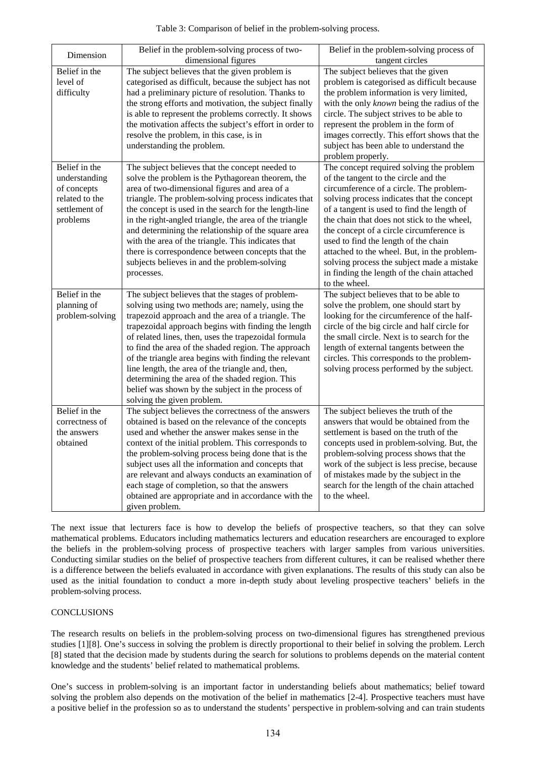| Table 3: Comparison of belief in the problem-solving process. |  |
|---------------------------------------------------------------|--|
|---------------------------------------------------------------|--|

| Dimension                                                                                    | Belief in the problem-solving process of two-<br>dimensional figures                                                                                                                                                                                                                                                                                                                                                                                                                                                                                                                | Belief in the problem-solving process of<br>tangent circles                                                                                                                                                                                                                                                                                                                                                                                                                                                             |
|----------------------------------------------------------------------------------------------|-------------------------------------------------------------------------------------------------------------------------------------------------------------------------------------------------------------------------------------------------------------------------------------------------------------------------------------------------------------------------------------------------------------------------------------------------------------------------------------------------------------------------------------------------------------------------------------|-------------------------------------------------------------------------------------------------------------------------------------------------------------------------------------------------------------------------------------------------------------------------------------------------------------------------------------------------------------------------------------------------------------------------------------------------------------------------------------------------------------------------|
| Belief in the<br>level of<br>difficulty                                                      | The subject believes that the given problem is<br>categorised as difficult, because the subject has not<br>had a preliminary picture of resolution. Thanks to<br>the strong efforts and motivation, the subject finally                                                                                                                                                                                                                                                                                                                                                             | The subject believes that the given<br>problem is categorised as difficult because<br>the problem information is very limited,<br>with the only known being the radius of the                                                                                                                                                                                                                                                                                                                                           |
|                                                                                              | is able to represent the problems correctly. It shows<br>the motivation affects the subject's effort in order to<br>resolve the problem, in this case, is in<br>understanding the problem.                                                                                                                                                                                                                                                                                                                                                                                          | circle. The subject strives to be able to<br>represent the problem in the form of<br>images correctly. This effort shows that the<br>subject has been able to understand the<br>problem properly.                                                                                                                                                                                                                                                                                                                       |
| Belief in the<br>understanding<br>of concepts<br>related to the<br>settlement of<br>problems | The subject believes that the concept needed to<br>solve the problem is the Pythagorean theorem, the<br>area of two-dimensional figures and area of a<br>triangle. The problem-solving process indicates that<br>the concept is used in the search for the length-line<br>in the right-angled triangle, the area of the triangle<br>and determining the relationship of the square area<br>with the area of the triangle. This indicates that<br>there is correspondence between concepts that the<br>subjects believes in and the problem-solving<br>processes.                    | The concept required solving the problem<br>of the tangent to the circle and the<br>circumference of a circle. The problem-<br>solving process indicates that the concept<br>of a tangent is used to find the length of<br>the chain that does not stick to the wheel,<br>the concept of a circle circumference is<br>used to find the length of the chain<br>attached to the wheel. But, in the problem-<br>solving process the subject made a mistake<br>in finding the length of the chain attached<br>to the wheel. |
| Belief in the<br>planning of<br>problem-solving                                              | The subject believes that the stages of problem-<br>solving using two methods are; namely, using the<br>trapezoid approach and the area of a triangle. The<br>trapezoidal approach begins with finding the length<br>of related lines, then, uses the trapezoidal formula<br>to find the area of the shaded region. The approach<br>of the triangle area begins with finding the relevant<br>line length, the area of the triangle and, then,<br>determining the area of the shaded region. This<br>belief was shown by the subject in the process of<br>solving the given problem. | The subject believes that to be able to<br>solve the problem, one should start by<br>looking for the circumference of the half-<br>circle of the big circle and half circle for<br>the small circle. Next is to search for the<br>length of external tangents between the<br>circles. This corresponds to the problem-<br>solving process performed by the subject.                                                                                                                                                     |
| Belief in the<br>correctness of<br>the answers<br>obtained                                   | The subject believes the correctness of the answers<br>obtained is based on the relevance of the concepts<br>used and whether the answer makes sense in the<br>context of the initial problem. This corresponds to<br>the problem-solving process being done that is the<br>subject uses all the information and concepts that<br>are relevant and always conducts an examination of<br>each stage of completion, so that the answers<br>obtained are appropriate and in accordance with the<br>given problem.                                                                      | The subject believes the truth of the<br>answers that would be obtained from the<br>settlement is based on the truth of the<br>concepts used in problem-solving. But, the<br>problem-solving process shows that the<br>work of the subject is less precise, because<br>of mistakes made by the subject in the<br>search for the length of the chain attached<br>to the wheel.                                                                                                                                           |

The next issue that lecturers face is how to develop the beliefs of prospective teachers, so that they can solve mathematical problems. Educators including mathematics lecturers and education researchers are encouraged to explore the beliefs in the problem-solving process of prospective teachers with larger samples from various universities. Conducting similar studies on the belief of prospective teachers from different cultures, it can be realised whether there is a difference between the beliefs evaluated in accordance with given explanations. The results of this study can also be used as the initial foundation to conduct a more in-depth study about leveling prospective teachers' beliefs in the problem-solving process.

# CONCLUSIONS

The research results on beliefs in the problem-solving process on two-dimensional figures has strengthened previous studies [1][8]. One's success in solving the problem is directly proportional to their belief in solving the problem. Lerch [8] stated that the decision made by students during the search for solutions to problems depends on the material content knowledge and the students' belief related to mathematical problems.

One's success in problem-solving is an important factor in understanding beliefs about mathematics; belief toward solving the problem also depends on the motivation of the belief in mathematics [2-4]. Prospective teachers must have a positive belief in the profession so as to understand the students' perspective in problem-solving and can train students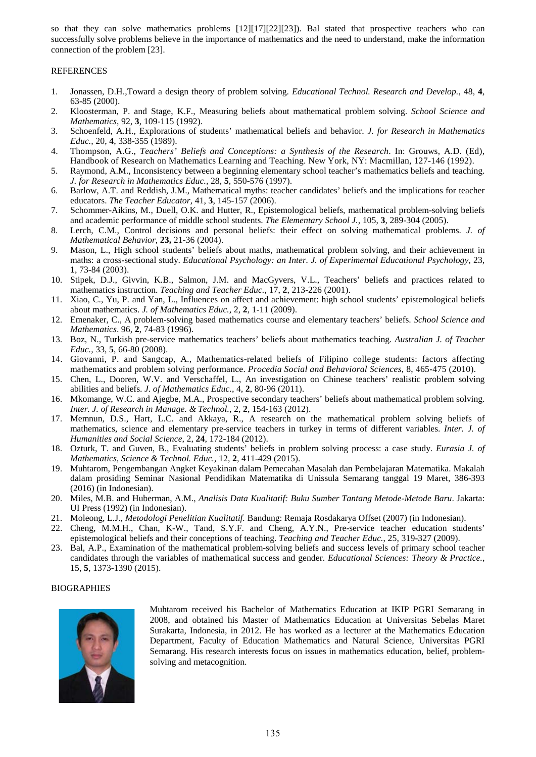so that they can solve mathematics problems [12][17][22][23]). Bal stated that prospective teachers who can successfully solve problems believe in the importance of mathematics and the need to understand, make the information connection of the problem [23].

## **REFERENCES**

- 1. Jonassen, D.H.,Toward a design theory of problem solving. *Educational Technol. Research and Develop.*, 48, **4**, 63-85 (2000).
- 2. Kloosterman, P. and Stage, K.F., Measuring beliefs about mathematical problem solving. *School Science and Mathematics*, 92, **3**, 109-115 (1992).
- 3. Schoenfeld, A.H., Explorations of students' mathematical beliefs and behavior. *J. for Research in Mathematics Educ.,* 20, **4**, 338-355 (1989).
- 4. Thompson, A.G., *Teachers' Beliefs and Conceptions: a Synthesis of the Research*. In: Grouws, A.D. (Ed), Handbook of Research on Mathematics Learning and Teaching. New York, NY: Macmillan, 127-146 (1992).
- 5. Raymond, A.M., Inconsistency between a beginning elementary school teacher's mathematics beliefs and teaching. *J. for Research in Mathematics Educ.,* 28, **5**, 550-576 (1997).
- 6. Barlow, A.T. and Reddish, J.M., Mathematical myths: teacher candidates' beliefs and the implications for teacher educators. *The Teacher Educator,* 41, **3**, 145-157 (2006).
- 7. Schommer-Aikins, M., Duell, O.K. and Hutter, R., Epistemological beliefs, mathematical problem-solving beliefs and academic performance of middle school students. *The Elementary School J.,* 105, **3**, 289-304 (2005).
- 8. Lerch, C.M., Control decisions and personal beliefs: their effect on solving mathematical problems. *J. of Mathematical Behavior,* **23,** 21-36 (2004).
- 9. Mason, L., High school students' beliefs about maths, mathematical problem solving, and their achievement in maths: a cross-sectional study. *Educational Psychology: an Inter. J. of Experimental Educational Psychology, 23,* **1**, 73-84 (2003).
- 10. Stipek, D.J., Givvin, K.B., Salmon, J.M. and MacGyvers, V.L., Teachers' beliefs and practices related to mathematics instruction. *Teaching and Teacher Educ.,* 17, **2**, 213-226 (2001).
- 11. Xiao, C., Yu, P. and Yan, L., Influences on affect and achievement: high school students' epistemological beliefs about mathematics. *J. of Mathematics Educ.*, 2, **2**, 1-11 (2009).
- 12. Emenaker, C., A problem-solving based mathematics course and elementary teachers' beliefs. *School Science and Mathematics*. 96, **2**, 74-83 (1996).
- 13. Boz, N., Turkish pre-service mathematics teachers' beliefs about mathematics teaching. *Australian J. of Teacher Educ.,* 33, **5**, 66-80 (2008).
- 14. Giovanni, P. and Sangcap, A., Mathematics-related beliefs of Filipino college students: factors affecting mathematics and problem solving performance. *Procedia Social and Behavioral Sciences,* 8, 465-475 (2010).
- 15. Chen, L., Dooren, W.V. and Verschaffel, L., An investigation on Chinese teachers' realistic problem solving abilities and beliefs. *J. of Mathematics Educ.*, 4, **2**, 80-96 (2011).
- 16. Mkomange, W.C. and Ajegbe, M.A., Prospective secondary teachers' beliefs about mathematical problem solving. *Inter. J. of Research in Manage. & Technol.,* 2, **2**, 154-163 (2012).
- 17. Memnun, D.S., Hart, L.C. and Akkaya, R., A research on the mathematical problem solving beliefs of mathematics, science and elementary pre-service teachers in turkey in terms of different variables. *Inter. J. of Humanities and Social Science*, 2, **24**, 172-184 (2012).
- 18. Ozturk, T. and Guven, B., Evaluating students' beliefs in problem solving process: a case study. *Eurasia J. of Mathematics, Science & Technol. Educ.,* 12, **2**, 411-429 (2015).
- 19. Muhtarom, Pengembangan Angket Keyakinan dalam Pemecahan Masalah dan Pembelajaran Matematika. Makalah dalam prosiding Seminar Nasional Pendidikan Matematika di Unissula Semarang tanggal 19 Maret, 386-393 (2016) (in Indonesian).
- 20. Miles, M.B. and Huberman, A.M., *Analisis Data Kualitatif: Buku Sumber Tantang Metode-Metode Baru*. Jakarta: UI Press (1992) (in Indonesian).
- 21. Moleong, L.J., *Metodologi Penelitian Kualitatif.* Bandung: Remaja Rosdakarya Offset (2007) (in Indonesian).
- 22. Cheng, M.M.H., Chan, K-W., Tand, S.Y.F. and Cheng, A.Y.N., Pre-service teacher education students' epistemological beliefs and their conceptions of teaching. *Teaching and Teacher Educ.*, 25, 319-327 (2009).
- 23. Bal, A.P., Examination of the mathematical problem-solving beliefs and success levels of primary school teacher candidates through the variables of mathematical success and gender. *Educational Sciences: Theory & Practice.*, 15, **5**, 1373-1390 (2015).

# BIOGRAPHIES



Muhtarom received his Bachelor of Mathematics Education at IKIP PGRI Semarang in 2008, and obtained his Master of Mathematics Education at Universitas Sebelas Maret Surakarta, Indonesia, in 2012. He has worked as a lecturer at the Mathematics Education Department, Faculty of Education Mathematics and Natural Science, Universitas PGRI Semarang. His research interests focus on issues in mathematics education, belief, problemsolving and metacognition.